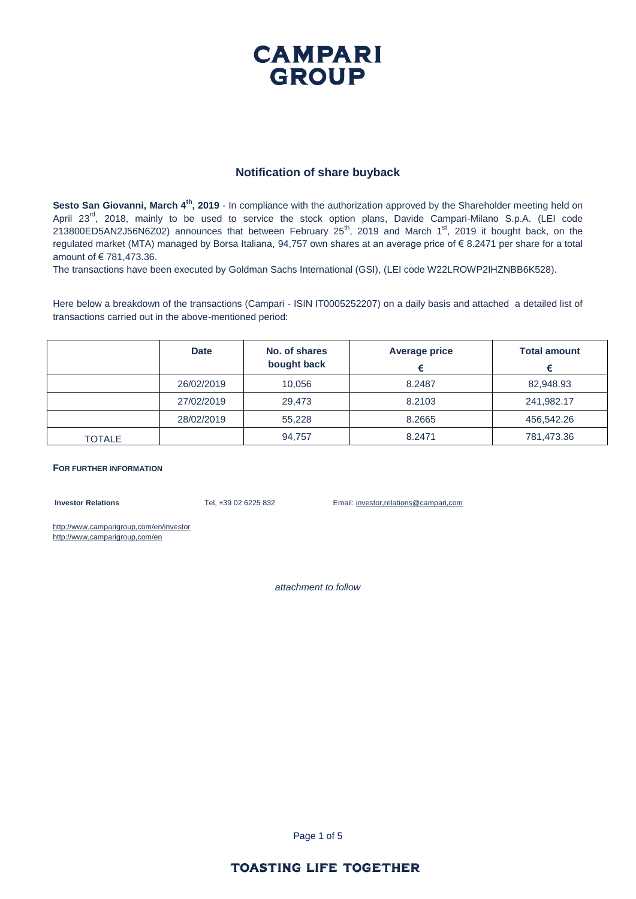### **CAMPARI GROUP**

#### **Notification of share buyback**

Sesto San Giovanni, March 4<sup>th</sup>, 2019 - In compliance with the authorization approved by the Shareholder meeting held on April 23<sup>rd</sup>, 2018, mainly to be used to service the stock option plans, Davide Campari-Milano S.p.A. (LEI code 213800ED5AN2J56N6Z02) announces that between February  $25<sup>th</sup>$ , 2019 and March 1<sup>st</sup>, 2019 it bought back, on the regulated market (MTA) managed by Borsa Italiana, 94,757 own shares at an average price of € 8.2471 per share for a total amount of € 781,473.36.

The transactions have been executed by Goldman Sachs International (GSI), (LEI code W22LROWP2IHZNBB6K528).

Here below a breakdown of the transactions (Campari - ISIN IT0005252207) on a daily basis and attached a detailed list of transactions carried out in the above-mentioned period:

|               | <b>Date</b> | No. of shares<br>bought back | <b>Average price</b> | <b>Total amount</b> |  |
|---------------|-------------|------------------------------|----------------------|---------------------|--|
|               | 26/02/2019  | 10,056                       | 8.2487               | 82.948.93           |  |
|               | 27/02/2019  | 29.473                       | 8.2103               | 241,982.17          |  |
|               | 28/02/2019  | 55,228                       | 8.2665               | 456,542.26          |  |
| <b>TOTALE</b> |             | 94,757                       | 8.2471               | 781,473.36          |  |

#### **FOR FURTHER INFORMATION**

**Investor Relations** Tel, +39 02 6225 832 Email: investor,relations@campari,com

http://www,camparigroup,com/en/investor http://www,camparigroup,com/en

*attachment to follow*

Page 1 of 5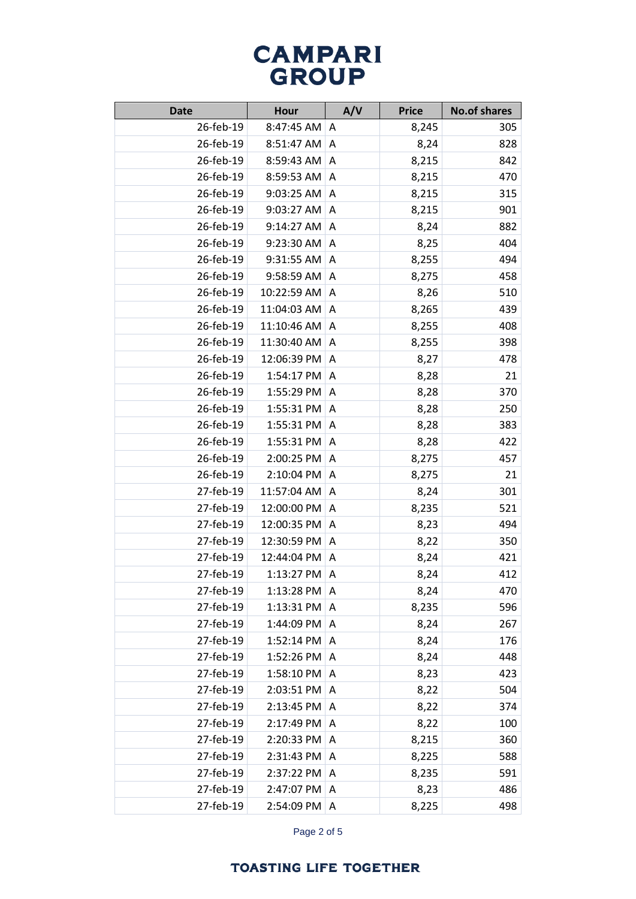| <b>Date</b> | <b>Hour</b> | A/V | <b>Price</b> | <b>No.of shares</b> |
|-------------|-------------|-----|--------------|---------------------|
| 26-feb-19   | 8:47:45 AM  | A   | 8,245        | 305                 |
| 26-feb-19   | 8:51:47 AM  | Α   | 8,24         | 828                 |
| 26-feb-19   | 8:59:43 AM  | Α   | 8,215        | 842                 |
| 26-feb-19   | 8:59:53 AM  | Α   | 8,215        | 470                 |
| 26-feb-19   | 9:03:25 AM  | A   | 8,215        | 315                 |
| 26-feb-19   | 9:03:27 AM  | A   | 8,215        | 901                 |
| 26-feb-19   | 9:14:27 AM  | Α   | 8,24         | 882                 |
| 26-feb-19   | 9:23:30 AM  | Α   | 8,25         | 404                 |
| 26-feb-19   | 9:31:55 AM  | A   | 8,255        | 494                 |
| 26-feb-19   | 9:58:59 AM  | Α   | 8,275        | 458                 |
| 26-feb-19   | 10:22:59 AM | A   | 8,26         | 510                 |
| 26-feb-19   | 11:04:03 AM | Α   | 8,265        | 439                 |
| 26-feb-19   | 11:10:46 AM | A   | 8,255        | 408                 |
| 26-feb-19   | 11:30:40 AM | A   | 8,255        | 398                 |
| 26-feb-19   | 12:06:39 PM | A   | 8,27         | 478                 |
| 26-feb-19   | 1:54:17 PM  | A   | 8,28         | 21                  |
| 26-feb-19   | 1:55:29 PM  | A   | 8,28         | 370                 |
| 26-feb-19   | 1:55:31 PM  | A   | 8,28         | 250                 |
| 26-feb-19   | 1:55:31 PM  | Α   | 8,28         | 383                 |
| 26-feb-19   | 1:55:31 PM  | Α   | 8,28         | 422                 |
| 26-feb-19   | 2:00:25 PM  | A   | 8,275        | 457                 |
| 26-feb-19   | 2:10:04 PM  | A   | 8,275        | 21                  |
| 27-feb-19   | 11:57:04 AM | A   | 8,24         | 301                 |
| 27-feb-19   | 12:00:00 PM | Α   | 8,235        | 521                 |
| 27-feb-19   | 12:00:35 PM | Α   | 8,23         | 494                 |
| 27-feb-19   | 12:30:59 PM | A   | 8,22         | 350                 |
| 27-feb-19   | 12:44:04 PM | Α   | 8,24         | 421                 |
| 27-feb-19   | 1:13:27 PM  | Α   | 8,24         | 412                 |
| 27-feb-19   | 1:13:28 PM  | A   | 8,24         | 470                 |
| 27-feb-19   | 1:13:31 PM  | A   | 8,235        | 596                 |
| 27-feb-19   | 1:44:09 PM  | A   | 8,24         | 267                 |
| 27-feb-19   | 1:52:14 PM  | Α   | 8,24         | 176                 |
| 27-feb-19   | 1:52:26 PM  | Α   | 8,24         | 448                 |
| 27-feb-19   | 1:58:10 PM  | Α   | 8,23         | 423                 |
| 27-feb-19   | 2:03:51 PM  | A   | 8,22         | 504                 |
| 27-feb-19   | 2:13:45 PM  | Α   | 8,22         | 374                 |
| 27-feb-19   | 2:17:49 PM  | Α   | 8,22         | 100                 |
| 27-feb-19   | 2:20:33 PM  | Α   | 8,215        | 360                 |
| 27-feb-19   | 2:31:43 PM  | Α   | 8,225        | 588                 |
| 27-feb-19   | 2:37:22 PM  | A   | 8,235        | 591                 |
| 27-feb-19   | 2:47:07 PM  | A   | 8,23         | 486                 |
| 27-feb-19   | 2:54:09 PM  | A   | 8,225        | 498                 |

Page 2 of 5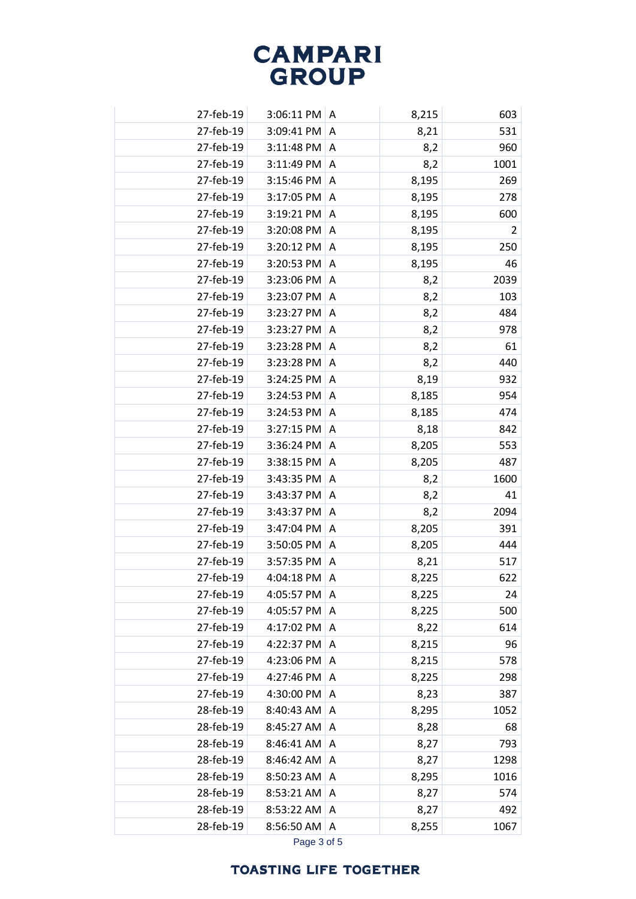| 27-feb-19 | 3:06:11 PM | A | 8,215 | 603  |
|-----------|------------|---|-------|------|
| 27-feb-19 | 3:09:41 PM | A | 8,21  | 531  |
| 27-feb-19 | 3:11:48 PM | A | 8,2   | 960  |
| 27-feb-19 | 3:11:49 PM | A | 8,2   | 1001 |
| 27-feb-19 | 3:15:46 PM | A | 8,195 | 269  |
| 27-feb-19 | 3:17:05 PM | A | 8,195 | 278  |
| 27-feb-19 | 3:19:21 PM | A | 8,195 | 600  |
| 27-feb-19 | 3:20:08 PM | A | 8,195 | 2    |
| 27-feb-19 | 3:20:12 PM | A | 8,195 | 250  |
| 27-feb-19 | 3:20:53 PM | A | 8,195 | 46   |
| 27-feb-19 | 3:23:06 PM | A | 8,2   | 2039 |
| 27-feb-19 | 3:23:07 PM | A | 8,2   | 103  |
| 27-feb-19 | 3:23:27 PM | A | 8,2   | 484  |
| 27-feb-19 | 3:23:27 PM | A | 8,2   | 978  |
| 27-feb-19 | 3:23:28 PM | A | 8,2   | 61   |
| 27-feb-19 | 3:23:28 PM | A | 8,2   | 440  |
| 27-feb-19 | 3:24:25 PM | Α | 8,19  | 932  |
| 27-feb-19 | 3:24:53 PM | A | 8,185 | 954  |
| 27-feb-19 | 3:24:53 PM | A | 8,185 | 474  |
| 27-feb-19 | 3:27:15 PM | A | 8,18  | 842  |
| 27-feb-19 | 3:36:24 PM | A | 8,205 | 553  |
| 27-feb-19 | 3:38:15 PM | A | 8,205 | 487  |
| 27-feb-19 | 3:43:35 PM | A | 8,2   | 1600 |
| 27-feb-19 | 3:43:37 PM | A | 8,2   | 41   |
| 27-feb-19 | 3:43:37 PM | A | 8,2   | 2094 |
| 27-feb-19 | 3:47:04 PM | A | 8,205 | 391  |
| 27-feb-19 | 3:50:05 PM | A | 8,205 | 444  |
| 27-feb-19 | 3:57:35 PM | A | 8,21  | 517  |
| 27-feb-19 | 4:04:18 PM | A | 8,225 | 622  |
| 27-feb-19 | 4:05:57 PM | A | 8,225 | 24   |
| 27-feb-19 | 4:05:57 PM | Α | 8,225 | 500  |
| 27-feb-19 | 4:17:02 PM | A | 8,22  | 614  |
| 27-feb-19 | 4:22:37 PM | A | 8,215 | 96   |
| 27-feb-19 | 4:23:06 PM | Α | 8,215 | 578  |
| 27-feb-19 | 4:27:46 PM | Α | 8,225 | 298  |
| 27-feb-19 | 4:30:00 PM | Α | 8,23  | 387  |
| 28-feb-19 | 8:40:43 AM | Α | 8,295 | 1052 |
| 28-feb-19 | 8:45:27 AM | A | 8,28  | 68   |
| 28-feb-19 | 8:46:41 AM | A | 8,27  | 793  |
| 28-feb-19 | 8:46:42 AM | Α | 8,27  | 1298 |
| 28-feb-19 | 8:50:23 AM | A | 8,295 | 1016 |
| 28-feb-19 | 8:53:21 AM | Α | 8,27  | 574  |
| 28-feb-19 | 8:53:22 AM | Α | 8,27  | 492  |
| 28-feb-19 | 8:56:50 AM | Α | 8,255 | 1067 |
|           |            |   |       |      |

Page 3 of 5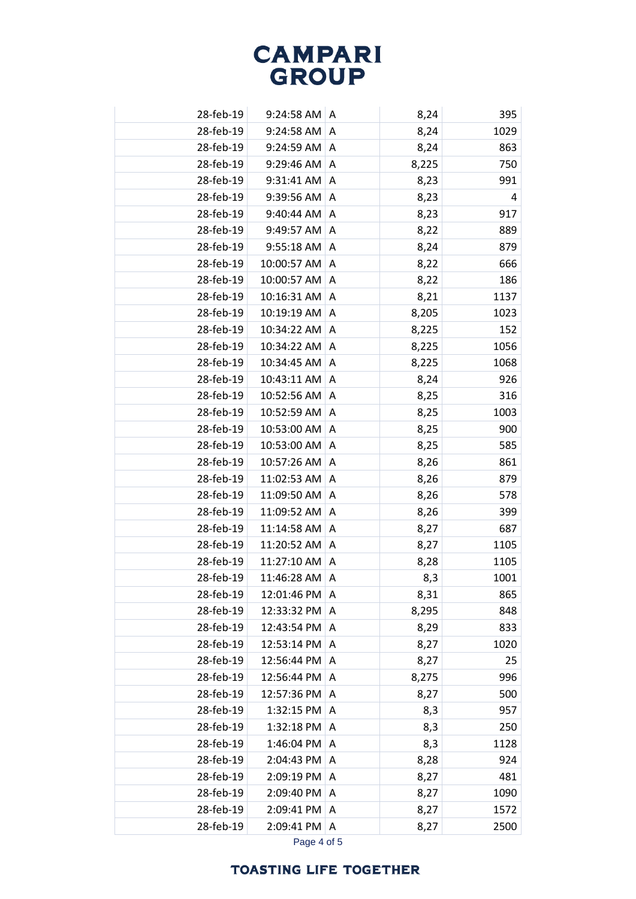| 28-feb-19 | $9:24:58$ AM   A |   | 8,24  | 395  |
|-----------|------------------|---|-------|------|
| 28-feb-19 | 9:24:58 AM       | A | 8,24  | 1029 |
| 28-feb-19 | 9:24:59 AM       | Α | 8,24  | 863  |
| 28-feb-19 | 9:29:46 AM       | Α | 8,225 | 750  |
| 28-feb-19 | 9:31:41 AM       | Α | 8,23  | 991  |
| 28-feb-19 | 9:39:56 AM       | A | 8,23  | 4    |
| 28-feb-19 | 9:40:44 AM       | A | 8,23  | 917  |
| 28-feb-19 | 9:49:57 AM       | Α | 8,22  | 889  |
| 28-feb-19 | 9:55:18 AM       | A | 8,24  | 879  |
| 28-feb-19 | 10:00:57 AM      | Α | 8,22  | 666  |
| 28-feb-19 | 10:00:57 AM      | Α | 8,22  | 186  |
| 28-feb-19 | 10:16:31 AM      | Α | 8,21  | 1137 |
| 28-feb-19 | 10:19:19 AM      | Α | 8,205 | 1023 |
| 28-feb-19 | 10:34:22 AM      | Α | 8,225 | 152  |
| 28-feb-19 | 10:34:22 AM      | Α | 8,225 | 1056 |
| 28-feb-19 | 10:34:45 AM      | A | 8,225 | 1068 |
| 28-feb-19 | 10:43:11 AM      | Α | 8,24  | 926  |
| 28-feb-19 | 10:52:56 AM      | Α | 8,25  | 316  |
| 28-feb-19 | 10:52:59 AM      | A | 8,25  | 1003 |
| 28-feb-19 | 10:53:00 AM      | Α | 8,25  | 900  |
| 28-feb-19 | 10:53:00 AM      | Α | 8,25  | 585  |
| 28-feb-19 | 10:57:26 AM      | Α | 8,26  | 861  |
| 28-feb-19 | 11:02:53 AM      | Α | 8,26  | 879  |
| 28-feb-19 | 11:09:50 AM      | Α | 8,26  | 578  |
| 28-feb-19 | 11:09:52 AM      | Α | 8,26  | 399  |
| 28-feb-19 | 11:14:58 AM      | A | 8,27  | 687  |
| 28-feb-19 | 11:20:52 AM      | A | 8,27  | 1105 |
| 28-feb-19 | 11:27:10 AM      | Α | 8,28  | 1105 |
| 28-feb-19 | 11:46:28 AM      | A | 8,3   | 1001 |
| 28-feb-19 | 12:01:46 PM      | A | 8,31  | 865  |
| 28-feb-19 | 12:33:32 PM      | A | 8,295 | 848  |
| 28-feb-19 | 12:43:54 PM      | Α | 8,29  | 833  |
| 28-feb-19 | 12:53:14 PM      | Α | 8,27  | 1020 |
| 28-feb-19 | 12:56:44 PM      | Α | 8,27  | 25   |
| 28-feb-19 | 12:56:44 PM      | Α | 8,275 | 996  |
| 28-feb-19 | 12:57:36 PM      | A | 8,27  | 500  |
| 28-feb-19 | 1:32:15 PM       | Α | 8,3   | 957  |
| 28-feb-19 | 1:32:18 PM       | Α | 8,3   | 250  |
| 28-feb-19 | 1:46:04 PM       | Α | 8,3   | 1128 |
| 28-feb-19 | 2:04:43 PM       | Α | 8,28  | 924  |
| 28-feb-19 | 2:09:19 PM       | Α | 8,27  | 481  |
| 28-feb-19 | 2:09:40 PM       | A | 8,27  | 1090 |
| 28-feb-19 | 2:09:41 PM       | A | 8,27  | 1572 |
| 28-feb-19 | 2:09:41 PM       | A | 8,27  | 2500 |
|           |                  |   |       |      |

Page 4 of 5